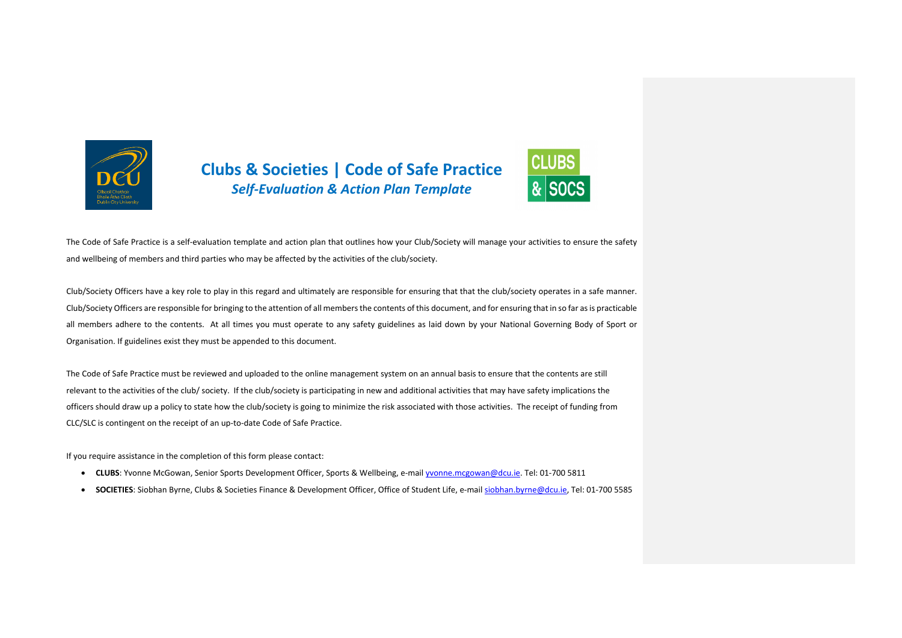

### **Clubs & Societies | Code of Safe Practice** *Self-Evaluation & Action Plan Template*



The Code of Safe Practice is a self-evaluation template and action plan that outlines how your Club/Society will manage your activities to ensure the safety and wellbeing of members and third parties who may be affected by the activities of the club/society.

Club/Society Officers have a key role to play in this regard and ultimately are responsible for ensuring that that the club/society operates in a safe manner. Club/Society Officers are responsible for bringing to the attention of all members the contents of this document, and for ensuring that in so far as is practicable all members adhere to the contents. At all times you must operate to any safety guidelines as laid down by your National Governing Body of Sport or Organisation. If guidelines exist they must be appended to this document.

The Code of Safe Practice must be reviewed and uploaded to the online management system on an annual basis to ensure that the contents are still relevant to the activities of the club/ society. If the club/society is participating in new and additional activities that may have safety implications the officers should draw up a policy to state how the club/society is going to minimize the risk associated with those activities. The receipt of funding from CLC/SLC is contingent on the receipt of an up-to-date Code of Safe Practice.

If you require assistance in the completion of this form please contact:

- **CLUBS**: Yvonne McGowan, Senior Sports Development Officer, Sports & Wellbeing, e-mail yvonne.mcgowan@dcu.ie. Tel: 01-700 5811
- **SOCIETIES**: Siobhan Byrne, Clubs & Societies Finance & Development Officer, Office of Student Life, e-mail siobhan.byrne@dcu.ie, Tel: 01-700 5585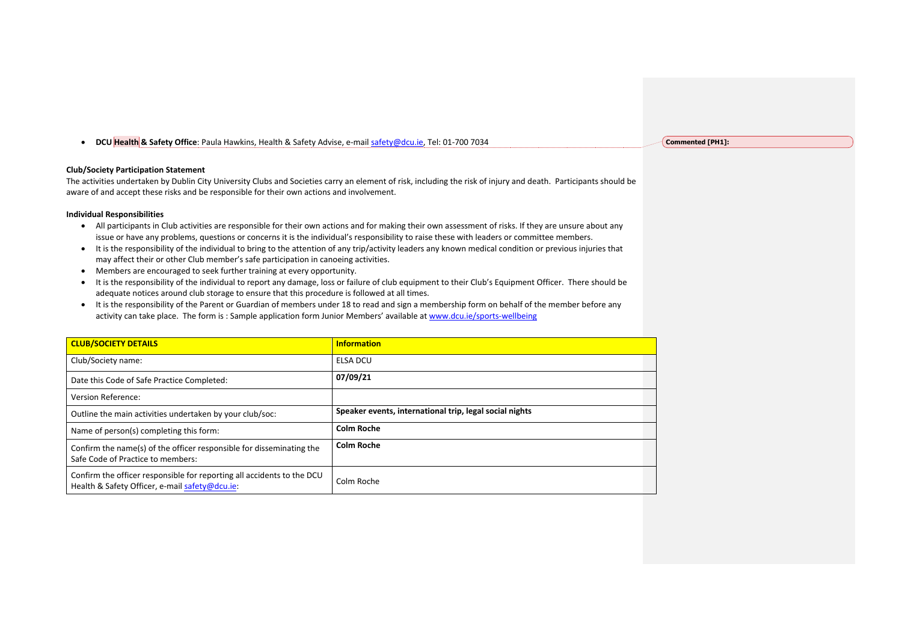• **DCU Health & Safety Office**: Paula Hawkins, Health & Safety Advise, e-mail safety@dcu.ie, Tel: 01-700 7034

#### **Club/Society Participation Statement**

The activities undertaken by Dublin City University Clubs and Societies carry an element of risk, including the risk of injury and death. Participants should be aware of and accept these risks and be responsible for their own actions and involvement.

#### **Individual Responsibilities**

- All participants in Club activities are responsible for their own actions and for making their own assessment of risks. If they are unsure about any issue or have any problems, questions or concerns it is the individual's responsibility to raise these with leaders or committee members.
- It is the responsibility of the individual to bring to the attention of any trip/activity leaders any known medical condition or previous injuries that may affect their or other Club member's safe participation in canoeing activities.
- Members are encouraged to seek further training at every opportunity.
- It is the responsibility of the individual to report any damage, loss or failure of club equipment to their Club's Equipment Officer. There should be adequate notices around club storage to ensure that this procedure is followed at all times.
- It is the responsibility of the Parent or Guardian of members under 18 to read and sign a membership form on behalf of the member before any activity can take place. The form is : Sample application form Junior Members' available at www.dcu.ie/sports-wellbeing

| <b>CLUB/SOCIETY DETAILS</b>                                                                                              | <b>Information</b>                                      |
|--------------------------------------------------------------------------------------------------------------------------|---------------------------------------------------------|
| Club/Society name:                                                                                                       | <b>ELSA DCU</b>                                         |
| Date this Code of Safe Practice Completed:                                                                               | 07/09/21                                                |
| Version Reference:                                                                                                       |                                                         |
| Outline the main activities undertaken by your club/soc:                                                                 | Speaker events, international trip, legal social nights |
| Name of person(s) completing this form:                                                                                  | <b>Colm Roche</b>                                       |
| Confirm the name(s) of the officer responsible for disseminating the<br>Safe Code of Practice to members:                | <b>Colm Roche</b>                                       |
| Confirm the officer responsible for reporting all accidents to the DCU<br>Health & Safety Officer, e-mail safety@dcu.ie: | Colm Roche                                              |

**Commented [PH1]:**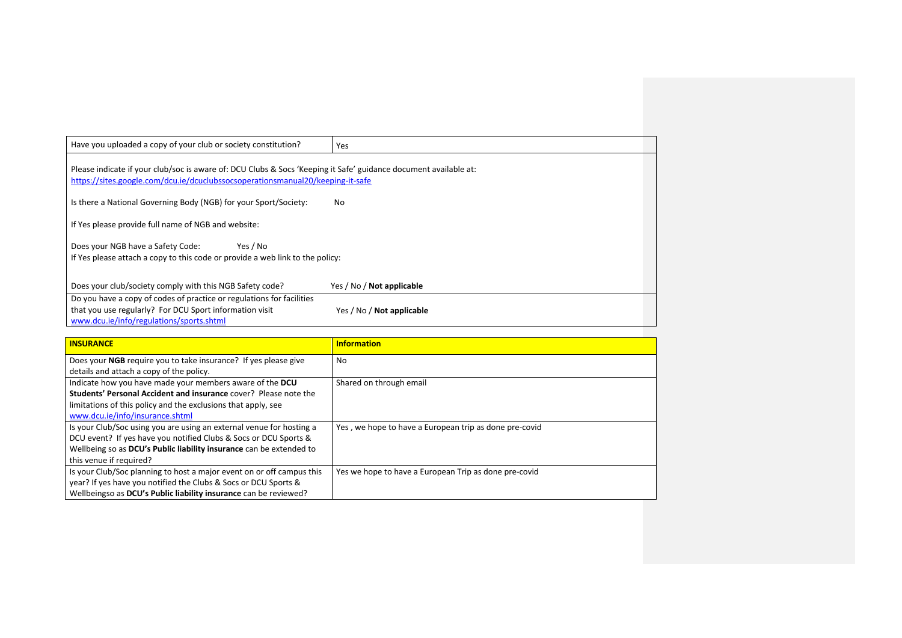| Have you uploaded a copy of your club or society constitution?                                                                                                                                     | Yes                              |
|----------------------------------------------------------------------------------------------------------------------------------------------------------------------------------------------------|----------------------------------|
| Please indicate if your club/soc is aware of: DCU Clubs & Socs 'Keeping it Safe' guidance document available at:<br>https://sites.google.com/dcu.ie/dcuclubssocsoperationsmanual20/keeping-it-safe |                                  |
| Is there a National Governing Body (NGB) for your Sport/Society:                                                                                                                                   | No.                              |
| If Yes please provide full name of NGB and website:                                                                                                                                                |                                  |
| Does your NGB have a Safety Code:<br>Yes / No<br>If Yes please attach a copy to this code or provide a web link to the policy:                                                                     |                                  |
| Does your club/society comply with this NGB Safety code?                                                                                                                                           | Yes / No / Not applicable        |
| Do you have a copy of codes of practice or regulations for facilities<br>that you use regularly? For DCU Sport information visit<br>www.dcu.ie/info/regulations/sports.shtml                       | Yes / No / <b>Not applicable</b> |

| <b>INSURANCE</b>                                                                                                                                                                                                                           | <b>Information</b>                                     |
|--------------------------------------------------------------------------------------------------------------------------------------------------------------------------------------------------------------------------------------------|--------------------------------------------------------|
| Does your NGB require you to take insurance? If yes please give<br>details and attach a copy of the policy.                                                                                                                                | No                                                     |
| Indicate how you have made your members aware of the DCU<br>Students' Personal Accident and insurance cover? Please note the<br>limitations of this policy and the exclusions that apply, see<br>www.dcu.ie/info/insurance.shtml           | Shared on through email                                |
| Is your Club/Soc using you are using an external venue for hosting a<br>DCU event? If yes have you notified Clubs & Socs or DCU Sports &<br>Wellbeing so as DCU's Public liability insurance can be extended to<br>this venue if required? | Yes, we hope to have a European trip as done pre-covid |
| Is your Club/Soc planning to host a major event on or off campus this<br>year? If yes have you notified the Clubs & Socs or DCU Sports &<br>Wellbeingso as DCU's Public liability insurance can be reviewed?                               | Yes we hope to have a European Trip as done pre-covid  |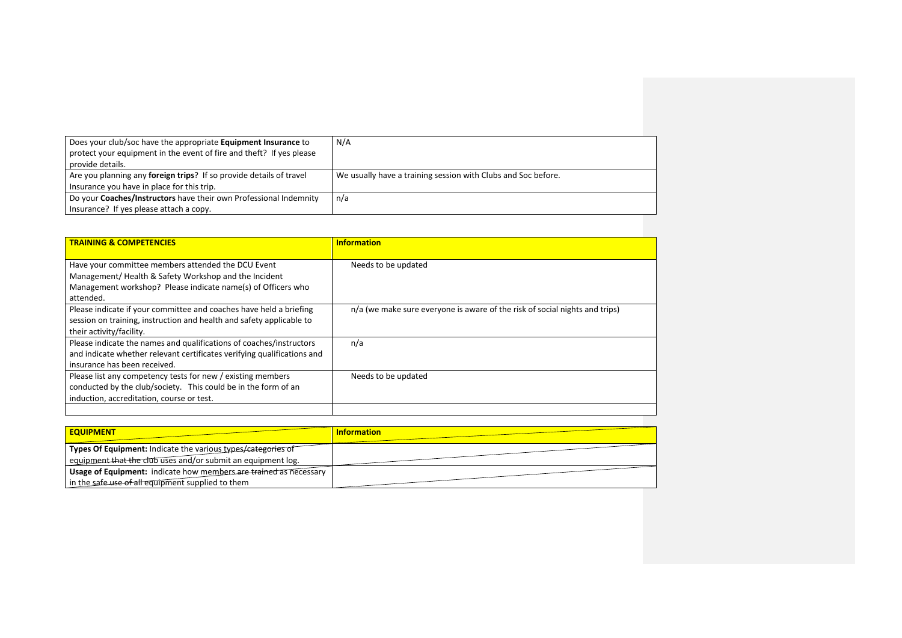| Does your club/soc have the appropriate Equipment Insurance to<br>protect your equipment in the event of fire and theft? If yes please<br>provide details. | N/A                                                           |
|------------------------------------------------------------------------------------------------------------------------------------------------------------|---------------------------------------------------------------|
| Are you planning any foreign trips? If so provide details of travel<br>Insurance you have in place for this trip.                                          | We usually have a training session with Clubs and Soc before. |
| Do your Coaches/Instructors have their own Professional Indemnity                                                                                          | n/a                                                           |
| Insurance? If yes please attach a copy.                                                                                                                    |                                                               |

| <b>TRAINING &amp; COMPETENCIES</b>                                                                                                                                             | <b>Information</b>                                                          |
|--------------------------------------------------------------------------------------------------------------------------------------------------------------------------------|-----------------------------------------------------------------------------|
| Have your committee members attended the DCU Event<br>Management/Health & Safety Workshop and the Incident<br>Management workshop? Please indicate name(s) of Officers who     | Needs to be updated                                                         |
| attended.                                                                                                                                                                      |                                                                             |
| Please indicate if your committee and coaches have held a briefing<br>session on training, instruction and health and safety applicable to<br>their activity/facility.         | n/a (we make sure everyone is aware of the risk of social nights and trips) |
| Please indicate the names and qualifications of coaches/instructors<br>and indicate whether relevant certificates verifying qualifications and<br>insurance has been received. | n/a                                                                         |
| Please list any competency tests for new / existing members<br>conducted by the club/society. This could be in the form of an<br>induction, accreditation, course or test.     | Needs to be updated                                                         |
|                                                                                                                                                                                |                                                                             |

| <b>EQUIPMENT</b>                                                  | <b>Information</b> |
|-------------------------------------------------------------------|--------------------|
| Types Of Equipment: Indicate the various types/categories of      |                    |
| equipment that the club uses and/or submit an equipment log.      |                    |
| Usage of Equipment: indicate how members are trained as necessary |                    |
| in the safe use of all equipment supplied to them                 |                    |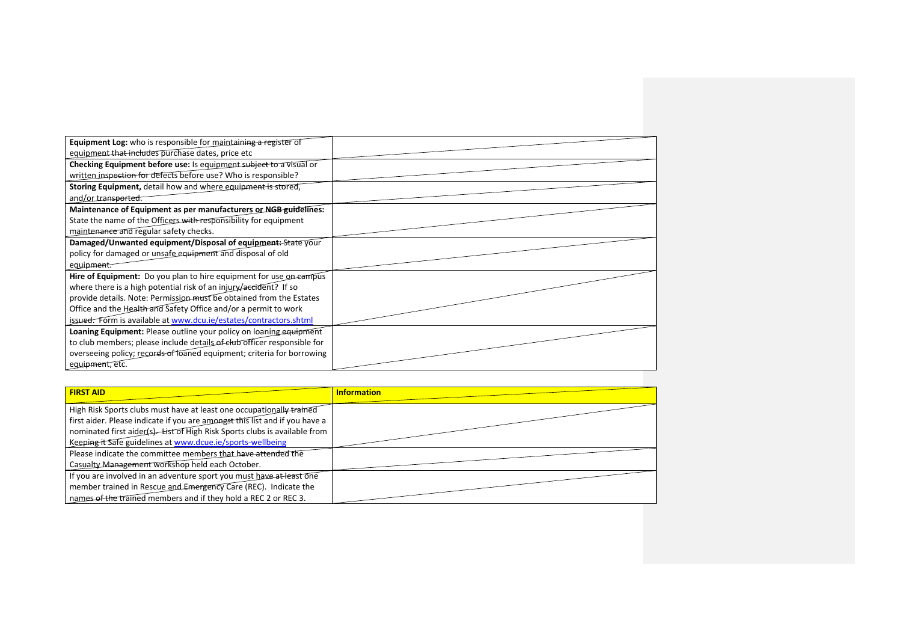| <b>Equipment Log:</b> who is responsible for maintaining a register of  |  |
|-------------------------------------------------------------------------|--|
| equipment that includes purchase dates, price etc                       |  |
| Checking Equipment before use: Is equipment subject to a visual or      |  |
| written inspection for defects before use? Who is responsible?          |  |
| Storing Equipment, detail how and where equipment is stored,            |  |
| and/or_transported.                                                     |  |
| Maintenance of Equipment as per manufacturers or NGB guidelines:        |  |
| State the name of the Officers with responsibility for equipment        |  |
| maintenance and regular safety checks.                                  |  |
| Damaged/Unwanted equipment/Disposal of equipment: State your            |  |
| policy for damaged or unsafe equipment and disposal of old              |  |
| equipment.                                                              |  |
| Hire of Equipment: Do you plan to hire equipment for use on eampus      |  |
| where there is a high potential risk of an injury/aecident? If so       |  |
| provide details. Note: Permission must be obtained from the Estates     |  |
| Office and the Health and Safety Office and/or a permit to work         |  |
| issued. Form is available at www.dcu.ie/estates/contractors.shtml       |  |
| Loaning Equipment: Please outline your policy on loaning equipment      |  |
| to club members; please include details of elub officer responsible for |  |
| overseeing policy; records of loaned equipment; criteria for borrowing  |  |
| equipment, etc.                                                         |  |

| <b>FIRST AID</b>                                                            | <b>Information</b> |
|-----------------------------------------------------------------------------|--------------------|
| High Risk Sports clubs must have at least one occupationally trained        |                    |
| first aider. Please indicate if you are amongst this list and if you have a |                    |
| nominated first aider(s). List of High Risk Sports clubs is available from  |                    |
| Keeping it Safe guidelines at www.dcue.ie/sports-wellbeing                  |                    |
| Please indicate the committee members that have attended the                |                    |
| Casualty Management workshop held each October.                             |                    |
| If you are involved in an adventure sport you must have at least one        |                    |
| member trained in Rescue and Emergency Care (REC). Indicate the             |                    |
| names of the trained members and if they hold a REC 2 or REC 3.             |                    |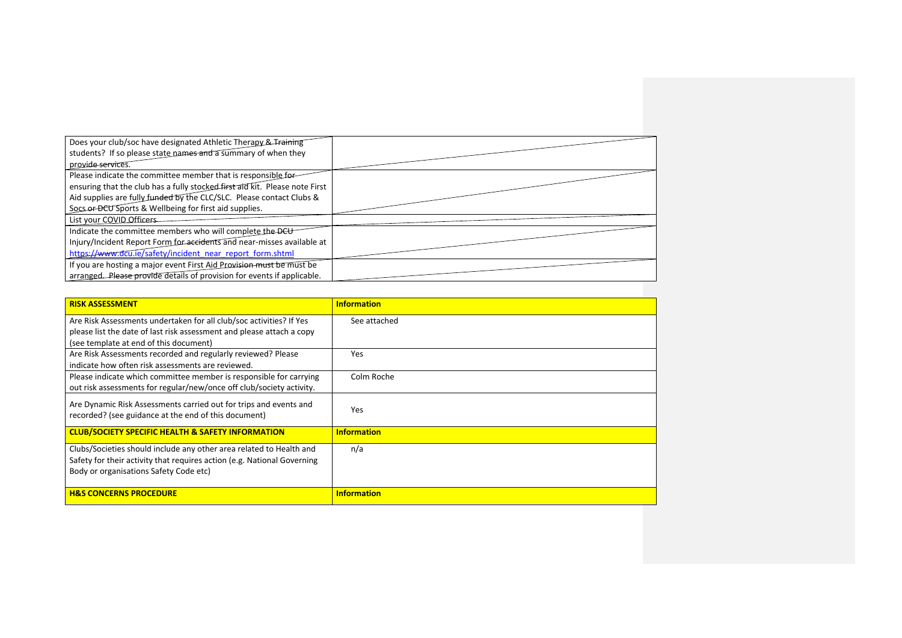| ensuring that the club has a fully stocked first aid kit. Please note First |
|-----------------------------------------------------------------------------|
|                                                                             |
|                                                                             |
|                                                                             |
|                                                                             |
| Injury/Incident Report Form for accidents and near-misses available at      |
|                                                                             |
|                                                                             |
|                                                                             |
|                                                                             |

| <b>RISK ASSESSMENT</b>                                                                                                                                                                   | <b>Information</b> |
|------------------------------------------------------------------------------------------------------------------------------------------------------------------------------------------|--------------------|
|                                                                                                                                                                                          |                    |
| Are Risk Assessments undertaken for all club/soc activities? If Yes                                                                                                                      | See attached       |
| please list the date of last risk assessment and please attach a copy                                                                                                                    |                    |
| (see template at end of this document)                                                                                                                                                   |                    |
| Are Risk Assessments recorded and regularly reviewed? Please                                                                                                                             | Yes                |
| indicate how often risk assessments are reviewed.                                                                                                                                        |                    |
| Please indicate which committee member is responsible for carrying                                                                                                                       | Colm Roche         |
| out risk assessments for regular/new/once off club/society activity.                                                                                                                     |                    |
| Are Dynamic Risk Assessments carried out for trips and events and<br>recorded? (see guidance at the end of this document)                                                                | Yes                |
| <b>CLUB/SOCIETY SPECIFIC HEALTH &amp; SAFETY INFORMATION</b>                                                                                                                             | <b>Information</b> |
| Clubs/Societies should include any other area related to Health and<br>Safety for their activity that requires action (e.g. National Governing<br>Body or organisations Safety Code etc) | n/a                |
| <b>H&amp;S CONCERNS PROCEDURE</b>                                                                                                                                                        | <b>Information</b> |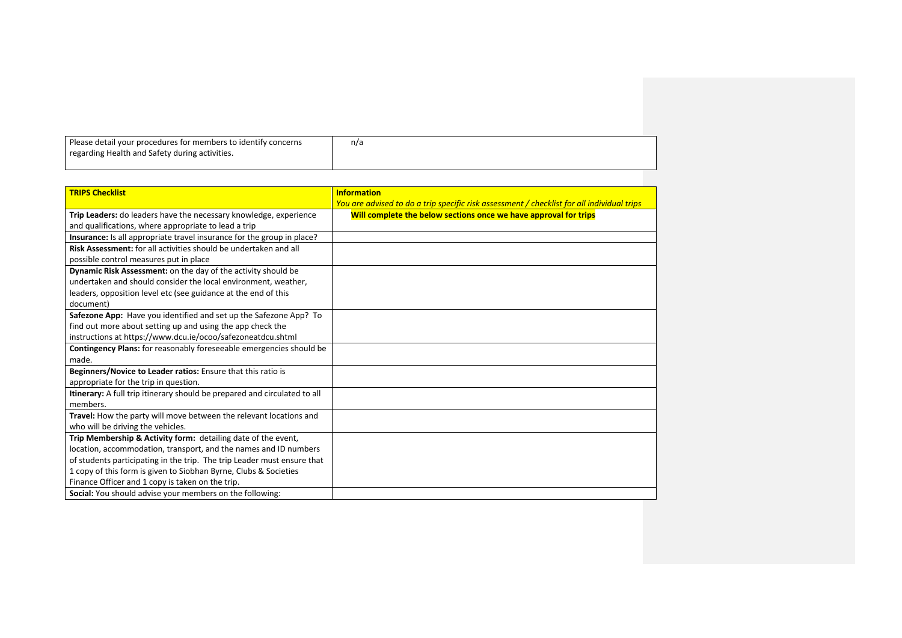| Please detail your procedures for members to identify concerns | n/a |
|----------------------------------------------------------------|-----|
| regarding Health and Safety during activities.                 |     |
|                                                                |     |

| <b>TRIPS Checklist</b>                                                     | <b>Information</b>                                                                         |
|----------------------------------------------------------------------------|--------------------------------------------------------------------------------------------|
|                                                                            | You are advised to do a trip specific risk assessment / checklist for all individual trips |
| Trip Leaders: do leaders have the necessary knowledge, experience          | Will complete the below sections once we have approval for trips                           |
| and qualifications, where appropriate to lead a trip                       |                                                                                            |
| Insurance: Is all appropriate travel insurance for the group in place?     |                                                                                            |
| Risk Assessment: for all activities should be undertaken and all           |                                                                                            |
| possible control measures put in place                                     |                                                                                            |
| Dynamic Risk Assessment: on the day of the activity should be              |                                                                                            |
| undertaken and should consider the local environment, weather,             |                                                                                            |
| leaders, opposition level etc (see guidance at the end of this             |                                                                                            |
| document)                                                                  |                                                                                            |
| Safezone App: Have you identified and set up the Safezone App? To          |                                                                                            |
| find out more about setting up and using the app check the                 |                                                                                            |
| instructions at https://www.dcu.ie/ocoo/safezoneatdcu.shtml                |                                                                                            |
| <b>Contingency Plans:</b> for reasonably foreseeable emergencies should be |                                                                                            |
| made.                                                                      |                                                                                            |
| Beginners/Novice to Leader ratios: Ensure that this ratio is               |                                                                                            |
| appropriate for the trip in question.                                      |                                                                                            |
| Itinerary: A full trip itinerary should be prepared and circulated to all  |                                                                                            |
| members.                                                                   |                                                                                            |
| Travel: How the party will move between the relevant locations and         |                                                                                            |
| who will be driving the vehicles.                                          |                                                                                            |
| Trip Membership & Activity form: detailing date of the event,              |                                                                                            |
| location, accommodation, transport, and the names and ID numbers           |                                                                                            |
| of students participating in the trip. The trip Leader must ensure that    |                                                                                            |
| 1 copy of this form is given to Siobhan Byrne, Clubs & Societies           |                                                                                            |
| Finance Officer and 1 copy is taken on the trip.                           |                                                                                            |
| Social: You should advise your members on the following:                   |                                                                                            |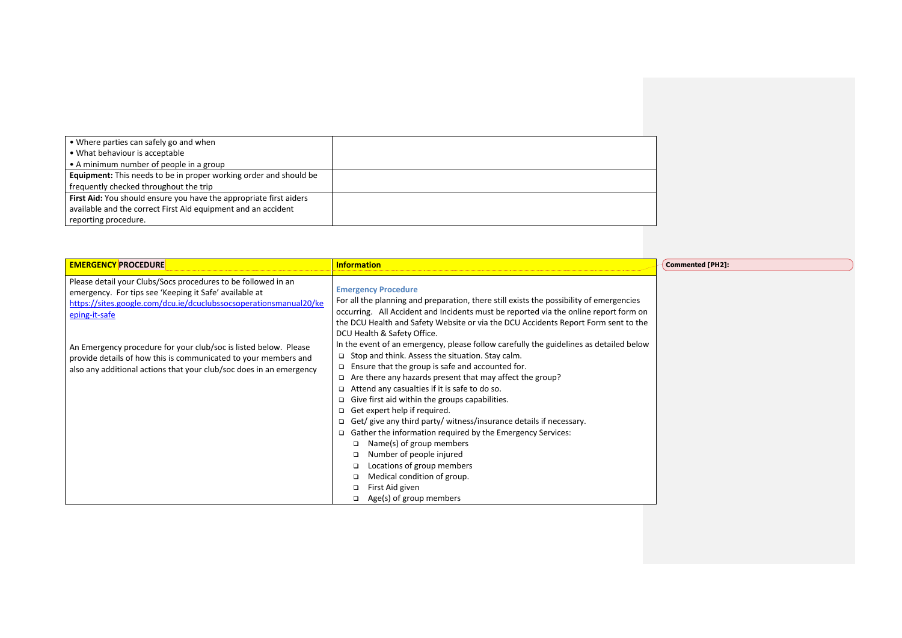| • Where parties can safely go and when                                   |  |
|--------------------------------------------------------------------------|--|
| • What behaviour is acceptable                                           |  |
| • A minimum number of people in a group                                  |  |
| <b>Equipment:</b> This needs to be in proper working order and should be |  |
| frequently checked throughout the trip                                   |  |
| First Aid: You should ensure you have the appropriate first aiders       |  |
| available and the correct First Aid equipment and an accident            |  |
| reporting procedure.                                                     |  |
|                                                                          |  |

| <b>EMERGENCY PROCEDURE</b>                                                                                                                                                                                    | <b>Information</b>                                                                                                                                                                                                                                                                                                                                                                                                                                                                                                                                                                                                                                                                                                                                     | <b>Commented [PH2]:</b> |
|---------------------------------------------------------------------------------------------------------------------------------------------------------------------------------------------------------------|--------------------------------------------------------------------------------------------------------------------------------------------------------------------------------------------------------------------------------------------------------------------------------------------------------------------------------------------------------------------------------------------------------------------------------------------------------------------------------------------------------------------------------------------------------------------------------------------------------------------------------------------------------------------------------------------------------------------------------------------------------|-------------------------|
| Please detail your Clubs/Socs procedures to be followed in an<br>emergency. For tips see 'Keeping it Safe' available at<br>https://sites.google.com/dcu.ie/dcuclubssocsoperationsmanual20/ke<br>eping-it-safe | <b>Emergency Procedure</b><br>For all the planning and preparation, there still exists the possibility of emergencies<br>occurring. All Accident and Incidents must be reported via the online report form on<br>the DCU Health and Safety Website or via the DCU Accidents Report Form sent to the<br>DCU Health & Safety Office.                                                                                                                                                                                                                                                                                                                                                                                                                     |                         |
| An Emergency procedure for your club/soc is listed below. Please<br>provide details of how this is communicated to your members and<br>also any additional actions that your club/soc does in an emergency    | In the event of an emergency, please follow carefully the guidelines as detailed below<br>$\Box$ Stop and think. Assess the situation. Stay calm.<br>$\Box$ Ensure that the group is safe and accounted for.<br>$\Box$ Are there any hazards present that may affect the group?<br>$\Box$ Attend any casualties if it is safe to do so.<br>Give first aid within the groups capabilities.<br>Get expert help if required.<br>$\Box$ Get/ give any third party/ witness/insurance details if necessary.<br>Gather the information required by the Emergency Services:<br>Name(s) of group members<br>$\Box$<br>Number of people injured<br>Locations of group members<br>Medical condition of group.<br>First Aid given<br>Age(s) of group members<br>▫ |                         |

⊇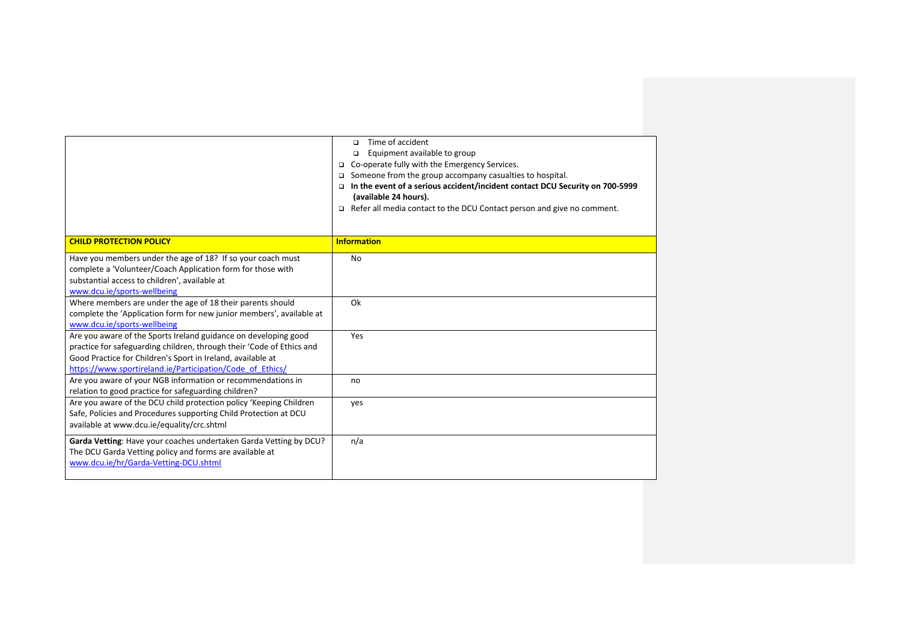|                                                                                                                                                                                                                                                                      | Time of accident<br>$\Box$<br>Equipment available to group<br>▫<br>Co-operate fully with the Emergency Services.<br>□<br>Someone from the group accompany casualties to hospital.<br>▫<br>In the event of a serious accident/incident contact DCU Security on 700-5999<br>▫<br>(available 24 hours).<br>$\Box$ Refer all media contact to the DCU Contact person and give no comment. |
|----------------------------------------------------------------------------------------------------------------------------------------------------------------------------------------------------------------------------------------------------------------------|---------------------------------------------------------------------------------------------------------------------------------------------------------------------------------------------------------------------------------------------------------------------------------------------------------------------------------------------------------------------------------------|
|                                                                                                                                                                                                                                                                      | <b>Information</b>                                                                                                                                                                                                                                                                                                                                                                    |
| <b>CHILD PROTECTION POLICY</b>                                                                                                                                                                                                                                       |                                                                                                                                                                                                                                                                                                                                                                                       |
| Have you members under the age of 18? If so your coach must<br>complete a 'Volunteer/Coach Application form for those with<br>substantial access to children', available at<br>www.dcu.ie/sports-wellbeing                                                           | <b>No</b>                                                                                                                                                                                                                                                                                                                                                                             |
| Where members are under the age of 18 their parents should<br>complete the 'Application form for new junior members', available at<br>www.dcu.ie/sports-wellbeing                                                                                                    | Ok                                                                                                                                                                                                                                                                                                                                                                                    |
| Are you aware of the Sports Ireland guidance on developing good<br>practice for safeguarding children, through their 'Code of Ethics and<br>Good Practice for Children's Sport in Ireland, available at<br>https://www.sportireland.ie/Participation/Code of Ethics/ | Yes                                                                                                                                                                                                                                                                                                                                                                                   |
| Are you aware of your NGB information or recommendations in<br>relation to good practice for safeguarding children?                                                                                                                                                  | no                                                                                                                                                                                                                                                                                                                                                                                    |
| Are you aware of the DCU child protection policy 'Keeping Children<br>Safe, Policies and Procedures supporting Child Protection at DCU<br>available at www.dcu.ie/equality/crc.shtml                                                                                 | yes                                                                                                                                                                                                                                                                                                                                                                                   |
| Garda Vetting: Have your coaches undertaken Garda Vetting by DCU?<br>The DCU Garda Vetting policy and forms are available at<br>www.dcu.ie/hr/Garda-Vetting-DCU.shtml                                                                                                | n/a                                                                                                                                                                                                                                                                                                                                                                                   |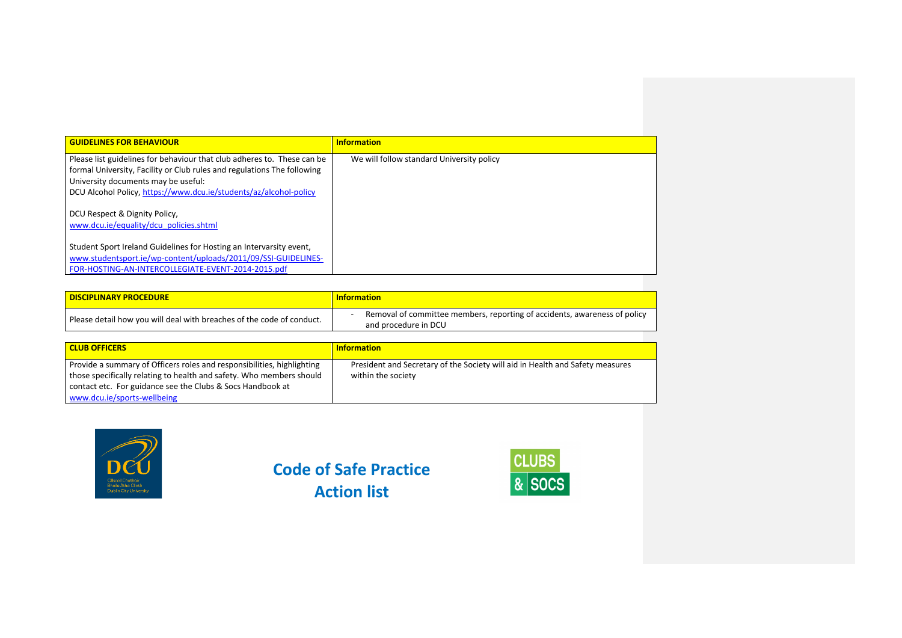| <b>GUIDELINES FOR BEHAVIOUR</b>                                                                                                                                                                                                                                | <b>Information</b>                        |
|----------------------------------------------------------------------------------------------------------------------------------------------------------------------------------------------------------------------------------------------------------------|-------------------------------------------|
| Please list guidelines for behaviour that club adheres to. These can be<br>formal University, Facility or Club rules and regulations The following<br>University documents may be useful:<br>DCU Alcohol Policy, https://www.dcu.ie/students/az/alcohol-policy | We will follow standard University policy |
| DCU Respect & Dignity Policy,<br>www.dcu.ie/equality/dcu_policies.shtml                                                                                                                                                                                        |                                           |
| Student Sport Ireland Guidelines for Hosting an Intervarsity event,<br>www.studentsport.ie/wp-content/uploads/2011/09/SSI-GUIDELINES-<br>FOR-HOSTING-AN-INTERCOLLEGIATE-EVENT-2014-2015.pdf                                                                    |                                           |

| <b>DISCIPLINARY PROCEDURE</b>                                         | <b>Information</b>                                                                                |
|-----------------------------------------------------------------------|---------------------------------------------------------------------------------------------------|
| Please detail how you will deal with breaches of the code of conduct. | Removal of committee members, reporting of accidents, awareness of policy<br>and procedure in DCU |

| <b>CLUB OFFICERS</b>                                                                                                                                                                                         | <b>Information</b>                                                                                  |
|--------------------------------------------------------------------------------------------------------------------------------------------------------------------------------------------------------------|-----------------------------------------------------------------------------------------------------|
| Provide a summary of Officers roles and responsibilities, highlighting<br>those specifically relating to health and safety. Who members should<br>contact etc. For guidance see the Clubs & Socs Handbook at | President and Secretary of the Society will aid in Health and Safety measures<br>within the society |
| www.dcu.ie/sports-wellbeing                                                                                                                                                                                  |                                                                                                     |



**Code of Safe Practice Action list**

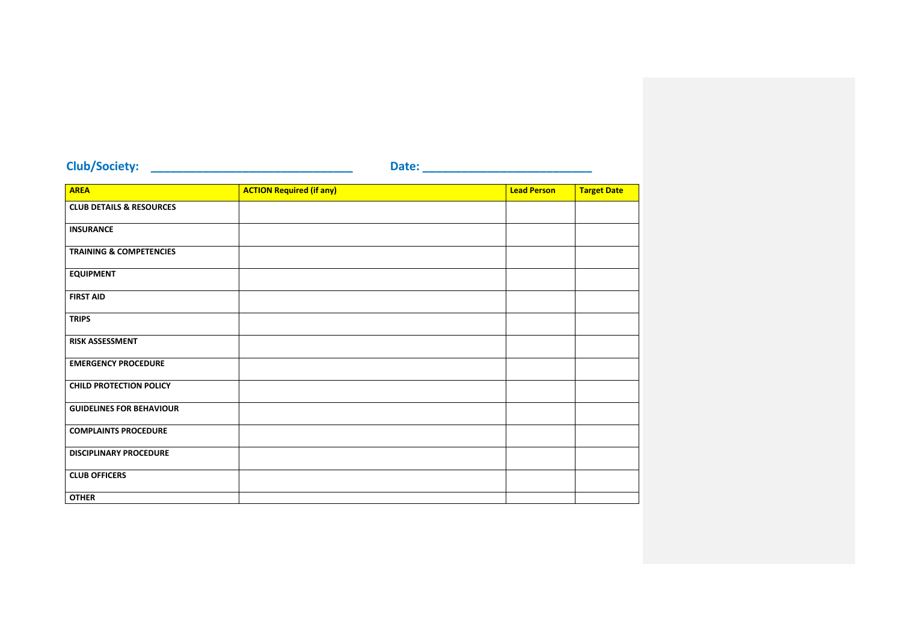## **Club/Society: \_\_\_\_\_\_\_\_\_\_\_\_\_\_\_\_\_\_\_\_\_\_\_\_\_\_\_\_\_\_\_ Date: \_\_\_\_\_\_\_\_\_\_\_\_\_\_\_\_\_\_\_\_\_\_\_\_\_\_**

| <b>AREA</b>                         | <b>ACTION Required (if any)</b> | <b>Lead Person</b> | <b>Target Date</b> |
|-------------------------------------|---------------------------------|--------------------|--------------------|
| <b>CLUB DETAILS &amp; RESOURCES</b> |                                 |                    |                    |
| <b>INSURANCE</b>                    |                                 |                    |                    |
| <b>TRAINING &amp; COMPETENCIES</b>  |                                 |                    |                    |
| <b>EQUIPMENT</b>                    |                                 |                    |                    |
| <b>FIRST AID</b>                    |                                 |                    |                    |
| <b>TRIPS</b>                        |                                 |                    |                    |
| <b>RISK ASSESSMENT</b>              |                                 |                    |                    |
| <b>EMERGENCY PROCEDURE</b>          |                                 |                    |                    |
| <b>CHILD PROTECTION POLICY</b>      |                                 |                    |                    |
| <b>GUIDELINES FOR BEHAVIOUR</b>     |                                 |                    |                    |
| <b>COMPLAINTS PROCEDURE</b>         |                                 |                    |                    |
| <b>DISCIPLINARY PROCEDURE</b>       |                                 |                    |                    |
| <b>CLUB OFFICERS</b>                |                                 |                    |                    |
| <b>OTHER</b>                        |                                 |                    |                    |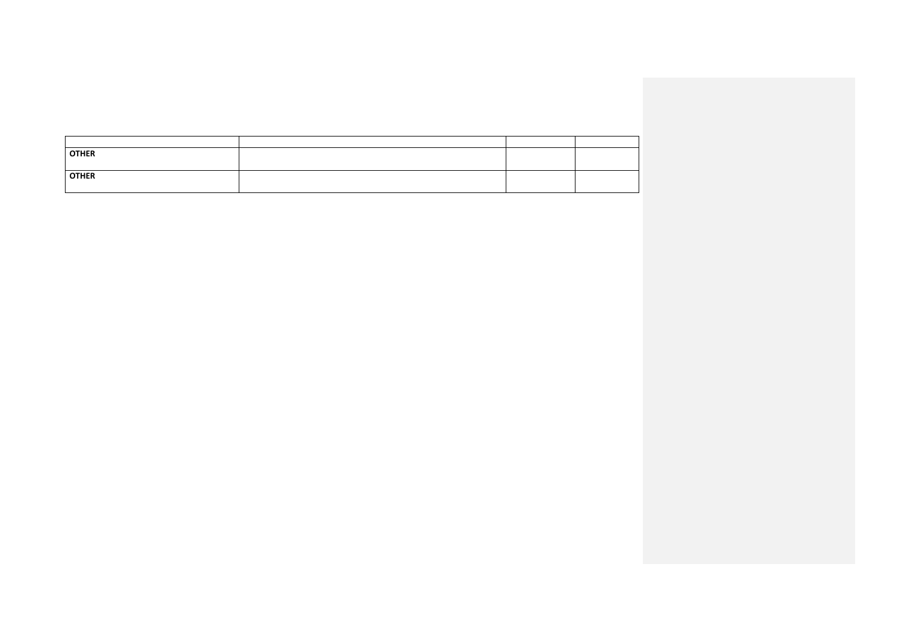| <b>OTHER</b> |  |  |
|--------------|--|--|
| <b>OTHER</b> |  |  |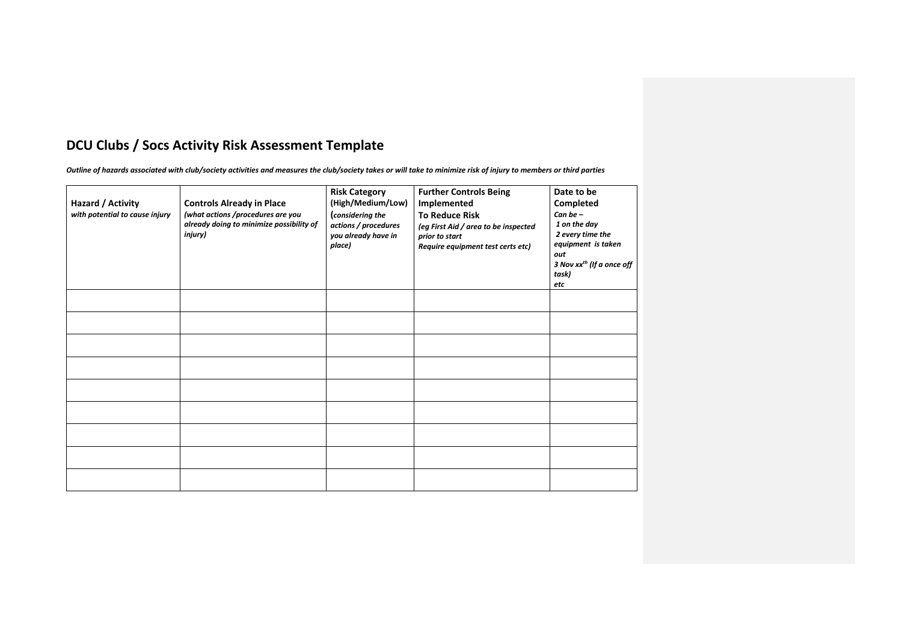### **DCU Clubs / Socs Activity Risk Assessment Template**

*Outline of hazards associated with club/society activities and measures the club/society takes or will take to minimize risk of injury to members or third parties*

| Hazard / Activity<br>with potential to cause injury | <b>Controls Already in Place</b><br>(what actions /procedures are you<br>already doing to minimize possibility of<br>injury) | <b>Risk Category</b><br>(High/Medium/Low)<br>(considering the<br>actions / procedures<br>you already have in<br>place) | <b>Further Controls Being</b><br>Implemented<br><b>To Reduce Risk</b><br>(eg First Aid / area to be inspected<br>prior to start<br>Require equipment test certs etc) | Date to be<br>Completed<br>Can be $-$<br>1 on the day<br>2 every time the<br>equipment is taken<br>out<br>3 Nov xx <sup>th</sup> (If a once off<br>task)<br>etc |
|-----------------------------------------------------|------------------------------------------------------------------------------------------------------------------------------|------------------------------------------------------------------------------------------------------------------------|----------------------------------------------------------------------------------------------------------------------------------------------------------------------|-----------------------------------------------------------------------------------------------------------------------------------------------------------------|
|                                                     |                                                                                                                              |                                                                                                                        |                                                                                                                                                                      |                                                                                                                                                                 |
|                                                     |                                                                                                                              |                                                                                                                        |                                                                                                                                                                      |                                                                                                                                                                 |
|                                                     |                                                                                                                              |                                                                                                                        |                                                                                                                                                                      |                                                                                                                                                                 |
|                                                     |                                                                                                                              |                                                                                                                        |                                                                                                                                                                      |                                                                                                                                                                 |
|                                                     |                                                                                                                              |                                                                                                                        |                                                                                                                                                                      |                                                                                                                                                                 |
|                                                     |                                                                                                                              |                                                                                                                        |                                                                                                                                                                      |                                                                                                                                                                 |
|                                                     |                                                                                                                              |                                                                                                                        |                                                                                                                                                                      |                                                                                                                                                                 |
|                                                     |                                                                                                                              |                                                                                                                        |                                                                                                                                                                      |                                                                                                                                                                 |
|                                                     |                                                                                                                              |                                                                                                                        |                                                                                                                                                                      |                                                                                                                                                                 |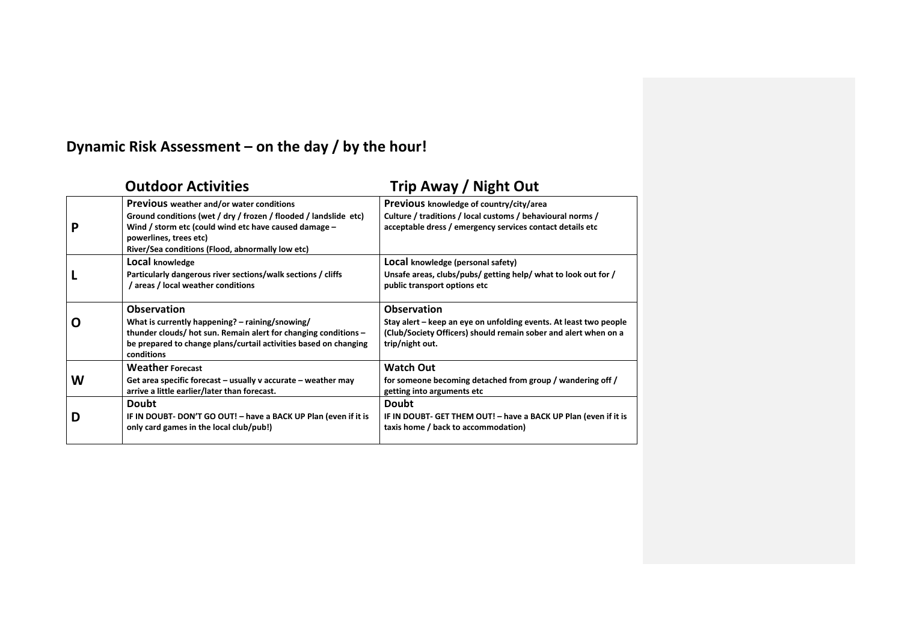# **Dynamic Risk Assessment – on the day / by the hour!**

|   | <b>Outdoor Activities</b>                                                                                                                                                                                                                                  | Trip Away / Night Out                                                                                                                                                         |
|---|------------------------------------------------------------------------------------------------------------------------------------------------------------------------------------------------------------------------------------------------------------|-------------------------------------------------------------------------------------------------------------------------------------------------------------------------------|
| Р | <b>Previous</b> weather and/or water conditions<br>Ground conditions (wet / dry / frozen / flooded / landslide etc)<br>Wind / storm etc (could wind etc have caused damage -<br>powerlines, trees etc)<br>River/Sea conditions (Flood, abnormally low etc) | Previous knowledge of country/city/area<br>Culture / traditions / local customs / behavioural norms /<br>acceptable dress / emergency services contact details etc            |
|   | Local knowledge<br>Particularly dangerous river sections/walk sections / cliffs<br>/ areas / local weather conditions                                                                                                                                      | LOCAl knowledge (personal safety)<br>Unsafe areas, clubs/pubs/ getting help/ what to look out for /<br>public transport options etc                                           |
| O | <b>Observation</b><br>What is currently happening? - raining/snowing/<br>thunder clouds/ hot sun. Remain alert for changing conditions -<br>be prepared to change plans/curtail activities based on changing<br>conditions                                 | <b>Observation</b><br>Stay alert – keep an eye on unfolding events. At least two people<br>(Club/Society Officers) should remain sober and alert when on a<br>trip/night out. |
| W | <b>Weather Forecast</b><br>Get area specific forecast $-$ usually v accurate $-$ weather may<br>arrive a little earlier/later than forecast.                                                                                                               | <b>Watch Out</b><br>for someone becoming detached from group / wandering off /<br>getting into arguments etc                                                                  |
| D | <b>Doubt</b><br>IF IN DOUBT- DON'T GO OUT! - have a BACK UP Plan (even if it is<br>only card games in the local club/pub!)                                                                                                                                 | <b>Doubt</b><br>IF IN DOUBT- GET THEM OUT! - have a BACK UP Plan (even if it is<br>taxis home / back to accommodation)                                                        |